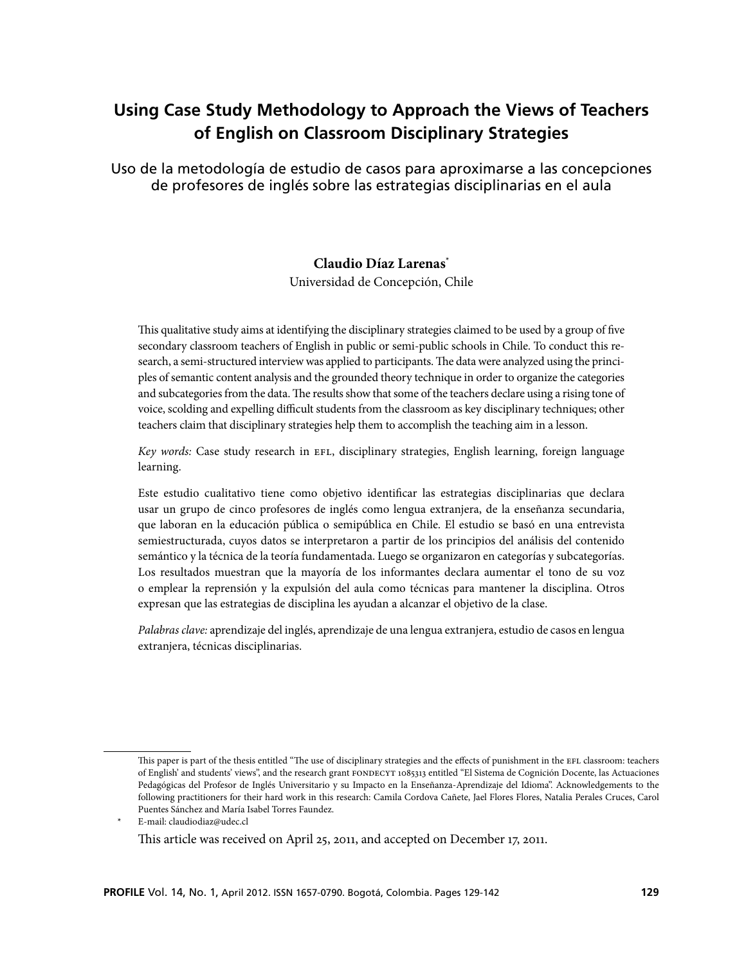# **Using Case Study Methodology to Approach the Views of Teachers of English on Classroom Disciplinary Strategies**

Uso de la metodología de estudio de casos para aproximarse a las concepciones de profesores de inglés sobre las estrategias disciplinarias en el aula

### **Claudio Díaz Larenas\***

Universidad de Concepción, Chile

This qualitative study aims at identifying the disciplinary strategies claimed to be used by a group of five secondary classroom teachers of English in public or semi-public schools in Chile. To conduct this research, a semi-structured interview was applied to participants. The data were analyzed using the principles of semantic content analysis and the grounded theory technique in order to organize the categories and subcategories from the data. The results show that some of the teachers declare using a rising tone of voice, scolding and expelling difficult students from the classroom as key disciplinary techniques; other teachers claim that disciplinary strategies help them to accomplish the teaching aim in a lesson.

*Key words:* Case study research in EFL, disciplinary strategies, English learning, foreign language learning.

Este estudio cualitativo tiene como objetivo identificar las estrategias disciplinarias que declara usar un grupo de cinco profesores de inglés como lengua extranjera, de la enseñanza secundaria, que laboran en la educación pública o semipública en Chile. El estudio se basó en una entrevista semiestructurada, cuyos datos se interpretaron a partir de los principios del análisis del contenido semántico y la técnica de la teoría fundamentada. Luego se organizaron en categorías y subcategorías. Los resultados muestran que la mayoría de los informantes declara aumentar el tono de su voz o emplear la reprensión y la expulsión del aula como técnicas para mantener la disciplina. Otros expresan que las estrategias de disciplina les ayudan a alcanzar el objetivo de la clase.

*Palabras clave:* aprendizaje del inglés, aprendizaje de una lengua extranjera, estudio de casos en lengua extranjera, técnicas disciplinarias.

This paper is part of the thesis entitled "The use of disciplinary strategies and the effects of punishment in the EFL classroom: teachers of English' and students' views", and the research grant FONDECYT 1085313 entitled "El Sistema de Cognición Docente, las Actuaciones Pedagógicas del Profesor de Inglés Universitario y su Impacto en la Enseñanza-Aprendizaje del Idioma". Acknowledgements to the following practitioners for their hard work in this research: Camila Cordova Cañete, Jael Flores Flores, Natalia Perales Cruces, Carol Puentes Sánchez and María Isabel Torres Faundez.

E-mail: claudiodiaz@udec.cl This article was received on April 25, 2011, and accepted on December 17, 2011.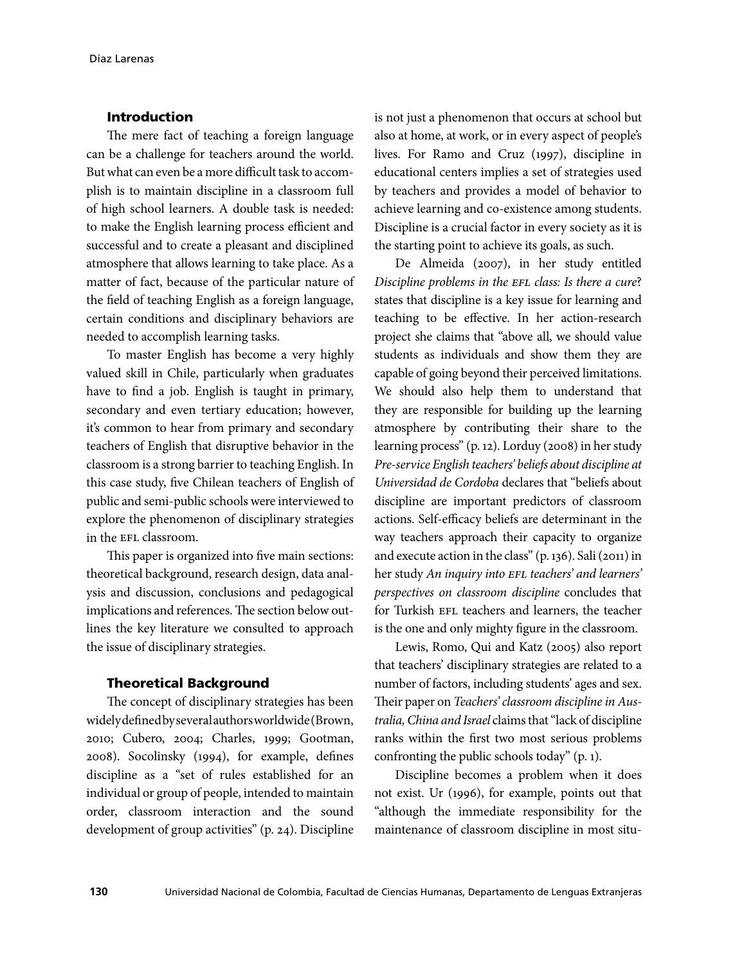### Introduction

The mere fact of teaching a foreign language can be a challenge for teachers around the world. But what can even be a more difficult task to accomplish is to maintain discipline in a classroom full of high school learners. A double task is needed: to make the English learning process efficient and successful and to create a pleasant and disciplined atmosphere that allows learning to take place. As a matter of fact, because of the particular nature of the field of teaching English as a foreign language, certain conditions and disciplinary behaviors are needed to accomplish learning tasks.

To master English has become a very highly valued skill in Chile, particularly when graduates have to find a job. English is taught in primary, secondary and even tertiary education; however, it's common to hear from primary and secondary teachers of English that disruptive behavior in the classroom is a strong barrier to teaching English. In this case study, five Chilean teachers of English of public and semi-public schools were interviewed to explore the phenomenon of disciplinary strategies in the EFL classroom.

This paper is organized into five main sections: theoretical background, research design, data analysis and discussion, conclusions and pedagogical implications and references. The section below outlines the key literature we consulted to approach the issue of disciplinary strategies.

### Theoretical Background

The concept of disciplinary strategies has been widely defined by several authors worldwide (Brown, 2010; Cubero, 2004; Charles, 1999; Gootman, 2008). Socolinsky (1994), for example, defines discipline as a "set of rules established for an individual or group of people, intended to maintain order, classroom interaction and the sound development of group activities" (p. 24). Discipline

is not just a phenomenon that occurs at school but also at home, at work, or in every aspect of people's lives. For Ramo and Cruz (1997), discipline in educational centers implies a set of strategies used by teachers and provides a model of behavior to achieve learning and co-existence among students. Discipline is a crucial factor in every society as it is the starting point to achieve its goals, as such.

De Almeida (2007), in her study entitled *Discipline problems in the EFL class: Is there a cure*? states that discipline is a key issue for learning and teaching to be effective. In her action-research project she claims that "above all, we should value students as individuals and show them they are capable of going beyond their perceived limitations. We should also help them to understand that they are responsible for building up the learning atmosphere by contributing their share to the learning process" (p. 12). Lorduy (2008) in her study *Pre-service English teachers' beliefs about discipline at Universidad de Cordoba* declares that "beliefs about discipline are important predictors of classroom actions. Self-efficacy beliefs are determinant in the way teachers approach their capacity to organize and execute action in the class" (p. 136). Sali (2011) in her study *An inquiry into EFL teachers' and learners' perspectives on classroom discipline* concludes that for Turkish EFL teachers and learners, the teacher is the one and only mighty figure in the classroom.

Lewis, Romo, Qui and Katz (2005) also report that teachers' disciplinary strategies are related to a number of factors, including students' ages and sex. Their paper on *Teachers' classroom discipline in Australia, China and Israel* claims that "lack of discipline ranks within the first two most serious problems confronting the public schools today" (p. 1).

Discipline becomes a problem when it does not exist. Ur (1996), for example, points out that "although the immediate responsibility for the maintenance of classroom discipline in most situ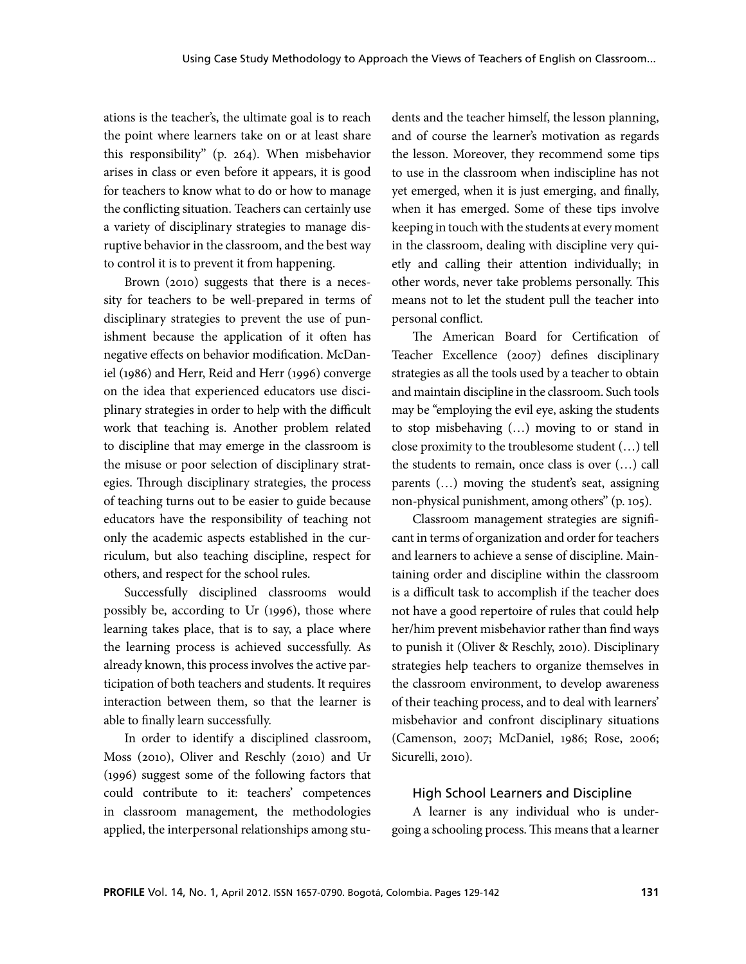ations is the teacher's, the ultimate goal is to reach the point where learners take on or at least share this responsibility" (p. 264). When misbehavior arises in class or even before it appears, it is good for teachers to know what to do or how to manage the conflicting situation. Teachers can certainly use a variety of disciplinary strategies to manage disruptive behavior in the classroom, and the best way to control it is to prevent it from happening.

Brown (2010) suggests that there is a necessity for teachers to be well-prepared in terms of disciplinary strategies to prevent the use of punishment because the application of it often has negative effects on behavior modification. McDaniel (1986) and Herr, Reid and Herr (1996) converge on the idea that experienced educators use disciplinary strategies in order to help with the difficult work that teaching is. Another problem related to discipline that may emerge in the classroom is the misuse or poor selection of disciplinary strategies. Through disciplinary strategies, the process of teaching turns out to be easier to guide because educators have the responsibility of teaching not only the academic aspects established in the curriculum, but also teaching discipline, respect for others, and respect for the school rules.

Successfully disciplined classrooms would possibly be, according to Ur (1996), those where learning takes place, that is to say, a place where the learning process is achieved successfully. As already known, this process involves the active participation of both teachers and students. It requires interaction between them, so that the learner is able to finally learn successfully.

In order to identify a disciplined classroom, Moss (2010), Oliver and Reschly (2010) and Ur (1996) suggest some of the following factors that could contribute to it: teachers' competences in classroom management, the methodologies applied, the interpersonal relationships among students and the teacher himself, the lesson planning, and of course the learner's motivation as regards the lesson. Moreover, they recommend some tips to use in the classroom when indiscipline has not yet emerged, when it is just emerging, and finally, when it has emerged. Some of these tips involve keeping in touch with the students at every moment in the classroom, dealing with discipline very quietly and calling their attention individually; in other words, never take problems personally. This means not to let the student pull the teacher into personal conflict.

The American Board for Certification of Teacher Excellence (2007) defines disciplinary strategies as all the tools used by a teacher to obtain and maintain discipline in the classroom. Such tools may be "employing the evil eye, asking the students to stop misbehaving (…) moving to or stand in close proximity to the troublesome student (…) tell the students to remain, once class is over (…) call parents (…) moving the student's seat, assigning non-physical punishment, among others" (p. 105).

Classroom management strategies are significant in terms of organization and order for teachers and learners to achieve a sense of discipline. Maintaining order and discipline within the classroom is a difficult task to accomplish if the teacher does not have a good repertoire of rules that could help her/him prevent misbehavior rather than find ways to punish it (Oliver & Reschly, 2010). Disciplinary strategies help teachers to organize themselves in the classroom environment, to develop awareness of their teaching process, and to deal with learners' misbehavior and confront disciplinary situations (Camenson, 2007; McDaniel, 1986; Rose, 2006; Sicurelli, 2010).

### High School Learners and Discipline

A learner is any individual who is undergoing a schooling process. This means that a learner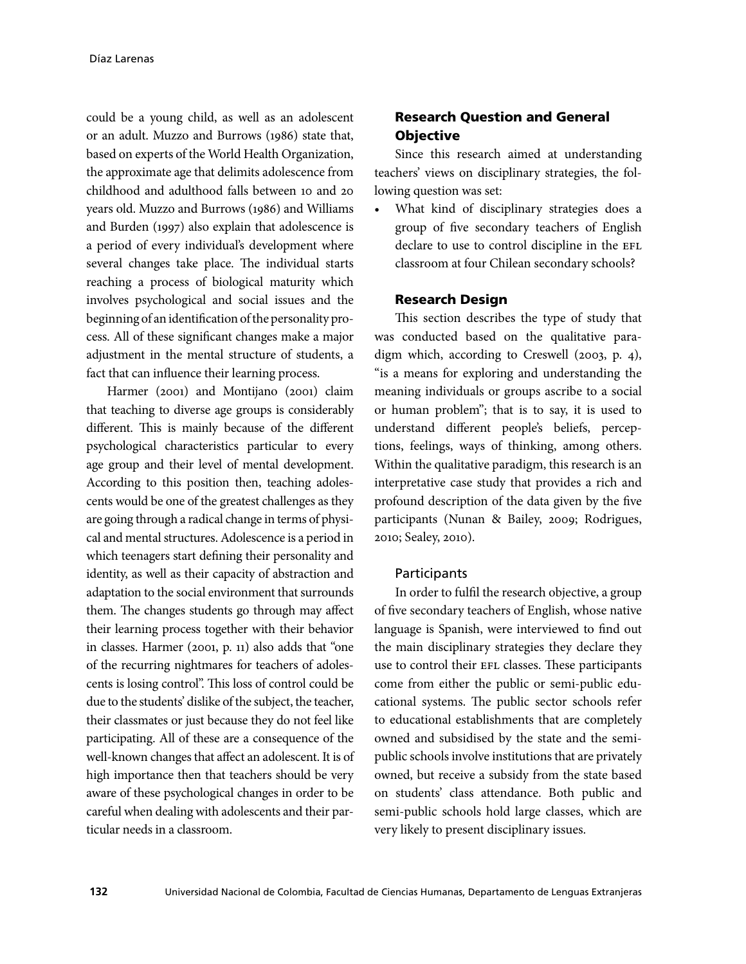could be a young child, as well as an adolescent or an adult. Muzzo and Burrows (1986) state that, based on experts of the World Health Organization, the approximate age that delimits adolescence from childhood and adulthood falls between 10 and 20 years old. Muzzo and Burrows (1986) and Williams and Burden (1997) also explain that adolescence is a period of every individual's development where several changes take place. The individual starts reaching a process of biological maturity which involves psychological and social issues and the beginning of an identification of the personality process. All of these significant changes make a major adjustment in the mental structure of students, a fact that can influence their learning process.

Harmer (2001) and Montijano (2001) claim that teaching to diverse age groups is considerably different. This is mainly because of the different psychological characteristics particular to every age group and their level of mental development. According to this position then, teaching adolescents would be one of the greatest challenges as they are going through a radical change in terms of physical and mental structures. Adolescence is a period in which teenagers start defining their personality and identity, as well as their capacity of abstraction and adaptation to the social environment that surrounds them. The changes students go through may affect their learning process together with their behavior in classes. Harmer (2001, p. 11) also adds that "one of the recurring nightmares for teachers of adolescents is losing control". This loss of control could be due to the students' dislike of the subject, the teacher, their classmates or just because they do not feel like participating. All of these are a consequence of the well-known changes that affect an adolescent. It is of high importance then that teachers should be very aware of these psychological changes in order to be careful when dealing with adolescents and their particular needs in a classroom.

## Research Question and General Objective

Since this research aimed at understanding teachers' views on disciplinary strategies, the following question was set:

What kind of disciplinary strategies does a group of five secondary teachers of English declare to use to control discipline in the EFL classroom at four Chilean secondary schools?

### Research Design

This section describes the type of study that was conducted based on the qualitative paradigm which, according to Creswell (2003, p. 4), "is a means for exploring and understanding the meaning individuals or groups ascribe to a social or human problem"; that is to say, it is used to understand different people's beliefs, perceptions, feelings, ways of thinking, among others. Within the qualitative paradigm, this research is an interpretative case study that provides a rich and profound description of the data given by the five participants (Nunan & Bailey, 2009; Rodrigues, 2010; Sealey, 2010).

### **Participants**

In order to fulfil the research objective, a group of five secondary teachers of English, whose native language is Spanish, were interviewed to find out the main disciplinary strategies they declare they use to control their EFL classes. These participants come from either the public or semi-public educational systems. The public sector schools refer to educational establishments that are completely owned and subsidised by the state and the semipublic schools involve institutions that are privately owned, but receive a subsidy from the state based on students' class attendance. Both public and semi-public schools hold large classes, which are very likely to present disciplinary issues.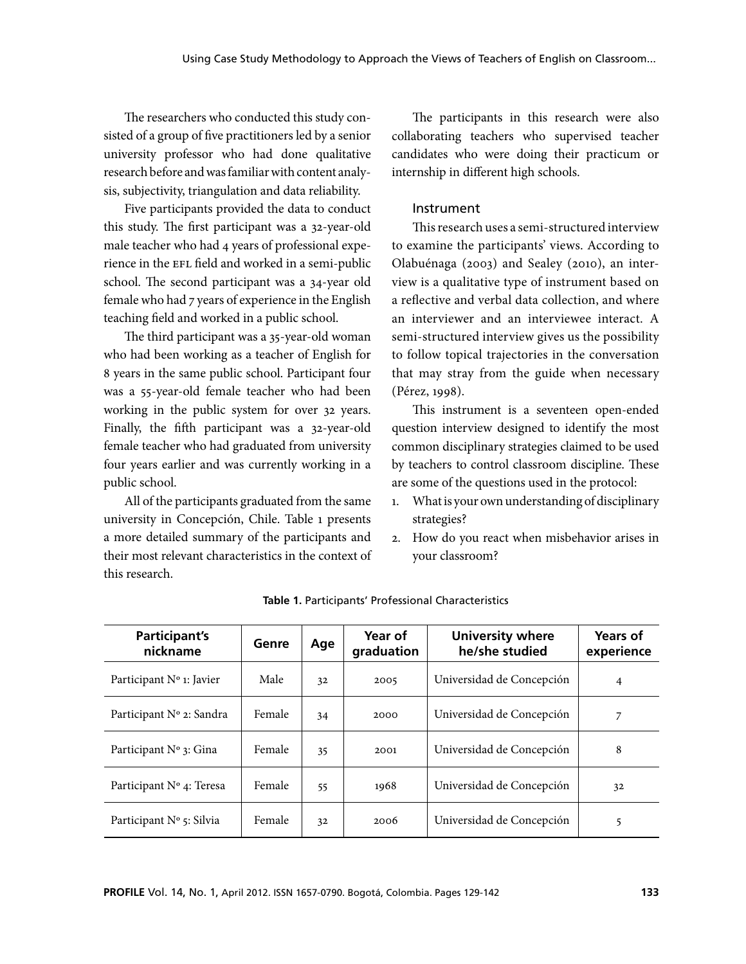The researchers who conducted this study consisted of a group of five practitioners led by a senior university professor who had done qualitative research before and was familiar with content analysis, subjectivity, triangulation and data reliability.

Five participants provided the data to conduct this study. The first participant was a 32-year-old male teacher who had 4 years of professional experience in the EFL field and worked in a semi-public school. The second participant was a 34-year old female who had 7 years of experience in the English teaching field and worked in a public school.

The third participant was a 35-year-old woman who had been working as a teacher of English for 8 years in the same public school. Participant four was a 55-year-old female teacher who had been working in the public system for over 32 years. Finally, the fifth participant was a 32-year-old female teacher who had graduated from university four years earlier and was currently working in a public school.

All of the participants graduated from the same university in Concepción, Chile. Table 1 presents a more detailed summary of the participants and their most relevant characteristics in the context of this research.

The participants in this research were also collaborating teachers who supervised teacher candidates who were doing their practicum or internship in different high schools.

#### Instrument

This research uses a semi-structured interview to examine the participants' views. According to Olabuénaga (2003) and Sealey (2010), an interview is a qualitative type of instrument based on a reflective and verbal data collection, and where an interviewer and an interviewee interact. A semi-structured interview gives us the possibility to follow topical trajectories in the conversation that may stray from the guide when necessary (Pérez, 1998).

This instrument is a seventeen open-ended question interview designed to identify the most common disciplinary strategies claimed to be used by teachers to control classroom discipline. These are some of the questions used in the protocol:

- 1. What is your own understanding of disciplinary strategies?
- 2. How do you react when misbehavior arises in your classroom?

| Participant's<br>nickname         | Genre  | Age | Year of<br>graduation | <b>University where</b><br>he/she studied | Years of<br>experience |
|-----------------------------------|--------|-----|-----------------------|-------------------------------------------|------------------------|
| Participant Nº 1: Javier          | Male   | 32  | 2005                  | Universidad de Concepción                 | 4                      |
| Participant N° 2: Sandra          | Female | 34  | 2000                  | Universidad de Concepción                 |                        |
| Participant N° 3: Gina            | Female | 35  | 2001                  | Universidad de Concepción                 | 8                      |
| Participant $N^{\circ}$ 4: Teresa | Female | 55  | 1968                  | Universidad de Concepción                 | 32                     |
| Participant $N^{\circ}$ 5: Silvia | Female | 32  | 2006                  | Universidad de Concepción                 | 5                      |

**Table 1.** Participants' Professional Characteristics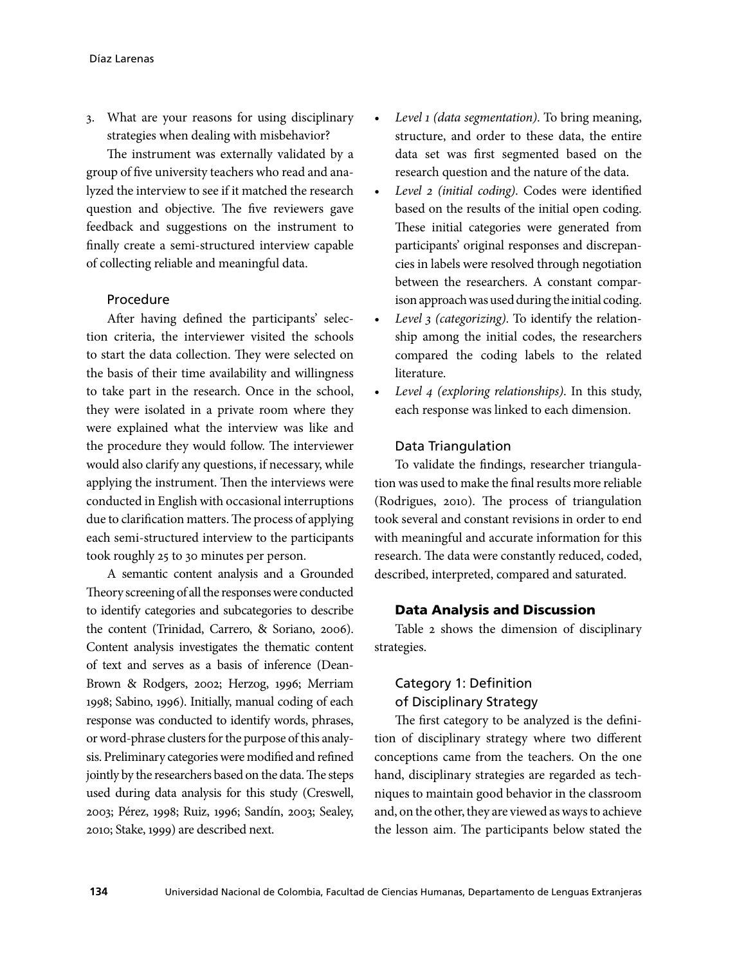3. What are your reasons for using disciplinary strategies when dealing with misbehavior?

The instrument was externally validated by a group of five university teachers who read and analyzed the interview to see if it matched the research question and objective. The five reviewers gave feedback and suggestions on the instrument to finally create a semi-structured interview capable of collecting reliable and meaningful data.

### Procedure

After having defined the participants' selection criteria, the interviewer visited the schools to start the data collection. They were selected on the basis of their time availability and willingness to take part in the research. Once in the school, they were isolated in a private room where they were explained what the interview was like and the procedure they would follow. The interviewer would also clarify any questions, if necessary, while applying the instrument. Then the interviews were conducted in English with occasional interruptions due to clarification matters. The process of applying each semi-structured interview to the participants took roughly 25 to 30 minutes per person.

A semantic content analysis and a Grounded Theory screening of all the responses were conducted to identify categories and subcategories to describe the content (Trinidad, Carrero, & Soriano, 2006). Content analysis investigates the thematic content of text and serves as a basis of inference (Dean-Brown & Rodgers, 2002; Herzog, 1996; Merriam 1998; Sabino, 1996). Initially, manual coding of each response was conducted to identify words, phrases, or word-phrase clusters for the purpose of this analysis. Preliminary categories were modified and refined jointly by the researchers based on the data. The steps used during data analysis for this study (Creswell, 2003; Pérez, 1998; Ruiz, 1996; Sandín, 2003; Sealey, 2010; Stake, 1999) are described next.

- *Level 1 (data segmentation)*. To bring meaning, structure, and order to these data, the entire data set was first segmented based on the research question and the nature of the data.
- Level 2 (initial coding). Codes were identified based on the results of the initial open coding. These initial categories were generated from participants' original responses and discrepancies in labels were resolved through negotiation between the researchers. A constant comparison approach was used during the initial coding.
- Level 3 (categorizing). To identify the relationship among the initial codes, the researchers compared the coding labels to the related literature.
- *Level 4 (exploring relationships)*. In this study, each response was linked to each dimension.

### Data Triangulation

To validate the findings, researcher triangulation was used to make the final results more reliable (Rodrigues, 2010). The process of triangulation took several and constant revisions in order to end with meaningful and accurate information for this research. The data were constantly reduced, coded, described, interpreted, compared and saturated.

### Data Analysis and Discussion

Table 2 shows the dimension of disciplinary strategies.

### Category 1: Definition of Disciplinary Strategy

The first category to be analyzed is the definition of disciplinary strategy where two different conceptions came from the teachers. On the one hand, disciplinary strategies are regarded as techniques to maintain good behavior in the classroom and, on the other, they are viewed as ways to achieve the lesson aim. The participants below stated the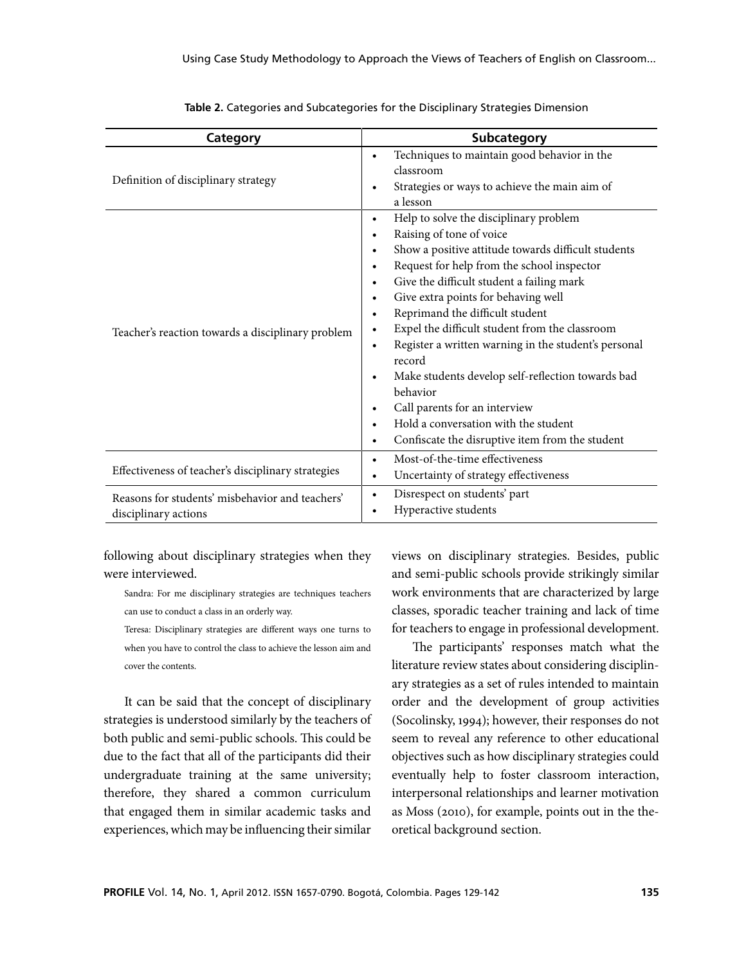| Category                                                                | <b>Subcategory</b>                                                                                                                                                                                                                                                                                                                                                                                                                                                                                                                                                                                                                                                                                                                                                                       |  |  |
|-------------------------------------------------------------------------|------------------------------------------------------------------------------------------------------------------------------------------------------------------------------------------------------------------------------------------------------------------------------------------------------------------------------------------------------------------------------------------------------------------------------------------------------------------------------------------------------------------------------------------------------------------------------------------------------------------------------------------------------------------------------------------------------------------------------------------------------------------------------------------|--|--|
| Definition of disciplinary strategy                                     | Techniques to maintain good behavior in the<br>$\bullet$<br>classroom<br>Strategies or ways to achieve the main aim of<br>$\bullet$<br>a lesson                                                                                                                                                                                                                                                                                                                                                                                                                                                                                                                                                                                                                                          |  |  |
| Teacher's reaction towards a disciplinary problem                       | Help to solve the disciplinary problem<br>$\bullet$<br>Raising of tone of voice<br>$\bullet$<br>Show a positive attitude towards difficult students<br>$\bullet$<br>Request for help from the school inspector<br>$\bullet$<br>Give the difficult student a failing mark<br>$\bullet$<br>Give extra points for behaving well<br>$\bullet$<br>Reprimand the difficult student<br>$\bullet$<br>Expel the difficult student from the classroom<br>$\bullet$<br>Register a written warning in the student's personal<br>$\bullet$<br>record<br>Make students develop self-reflection towards bad<br>$\bullet$<br>behavior<br>Call parents for an interview<br>$\bullet$<br>Hold a conversation with the student<br>$\bullet$<br>Confiscate the disruptive item from the student<br>$\bullet$ |  |  |
| Effectiveness of teacher's disciplinary strategies                      | Most-of-the-time effectiveness<br>$\bullet$<br>Uncertainty of strategy effectiveness<br>$\bullet$                                                                                                                                                                                                                                                                                                                                                                                                                                                                                                                                                                                                                                                                                        |  |  |
| Reasons for students' misbehavior and teachers'<br>disciplinary actions | Disrespect on students' part<br>$\bullet$<br>Hyperactive students<br>$\bullet$                                                                                                                                                                                                                                                                                                                                                                                                                                                                                                                                                                                                                                                                                                           |  |  |

**Table 2.** Categories and Subcategories for the Disciplinary Strategies Dimension

following about disciplinary strategies when they were interviewed.

Sandra: For me disciplinary strategies are techniques teachers can use to conduct a class in an orderly way.

Teresa: Disciplinary strategies are different ways one turns to when you have to control the class to achieve the lesson aim and cover the contents.

It can be said that the concept of disciplinary strategies is understood similarly by the teachers of both public and semi-public schools. This could be due to the fact that all of the participants did their undergraduate training at the same university; therefore, they shared a common curriculum that engaged them in similar academic tasks and experiences, which may be influencing their similar views on disciplinary strategies. Besides, public and semi-public schools provide strikingly similar work environments that are characterized by large classes, sporadic teacher training and lack of time for teachers to engage in professional development.

The participants' responses match what the literature review states about considering disciplinary strategies as a set of rules intended to maintain order and the development of group activities (Socolinsky, 1994); however, their responses do not seem to reveal any reference to other educational objectives such as how disciplinary strategies could eventually help to foster classroom interaction, interpersonal relationships and learner motivation as Moss (2010), for example, points out in the theoretical background section.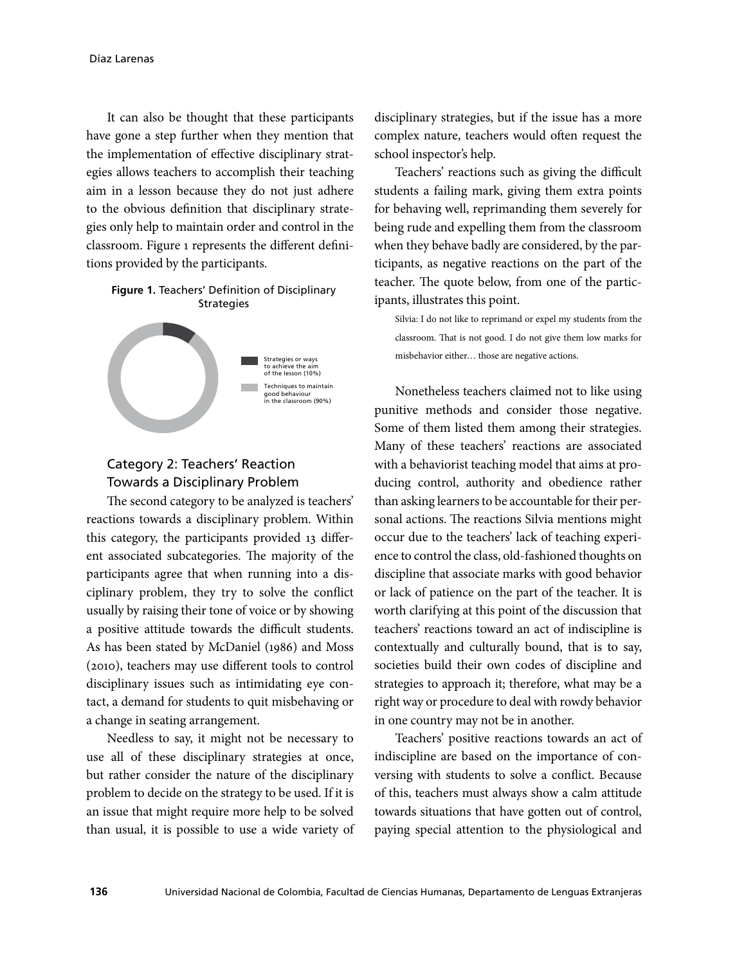It can also be thought that these participants have gone a step further when they mention that the implementation of effective disciplinary strategies allows teachers to accomplish their teaching aim in a lesson because they do not just adhere to the obvious definition that disciplinary strategies only help to maintain order and control in the classroom. Figure 1 represents the different definitions provided by the participants.

### **Figure 1.** Teachers' Definition of Disciplinary **Strategies**



# Category 2: Teachers' Reaction Towards a Disciplinary Problem

The second category to be analyzed is teachers' reactions towards a disciplinary problem. Within this category, the participants provided 13 different associated subcategories. The majority of the participants agree that when running into a disciplinary problem, they try to solve the conflict usually by raising their tone of voice or by showing a positive attitude towards the difficult students. As has been stated by McDaniel (1986) and Moss (2010), teachers may use different tools to control disciplinary issues such as intimidating eye contact, a demand for students to quit misbehaving or a change in seating arrangement.

Needless to say, it might not be necessary to use all of these disciplinary strategies at once, but rather consider the nature of the disciplinary problem to decide on the strategy to be used. If it is an issue that might require more help to be solved than usual, it is possible to use a wide variety of

disciplinary strategies, but if the issue has a more complex nature, teachers would often request the school inspector's help.

Teachers' reactions such as giving the difficult students a failing mark, giving them extra points for behaving well, reprimanding them severely for being rude and expelling them from the classroom when they behave badly are considered, by the participants, as negative reactions on the part of the teacher. The quote below, from one of the participants, illustrates this point.

Silvia: I do not like to reprimand or expel my students from the classroom. That is not good. I do not give them low marks for misbehavior either… those are negative actions.

Nonetheless teachers claimed not to like using punitive methods and consider those negative. Some of them listed them among their strategies. Many of these teachers' reactions are associated with a behaviorist teaching model that aims at producing control, authority and obedience rather than asking learners to be accountable for their personal actions. The reactions Silvia mentions might occur due to the teachers' lack of teaching experience to control the class, old-fashioned thoughts on discipline that associate marks with good behavior or lack of patience on the part of the teacher. It is worth clarifying at this point of the discussion that teachers' reactions toward an act of indiscipline is contextually and culturally bound, that is to say, societies build their own codes of discipline and strategies to approach it; therefore, what may be a right way or procedure to deal with rowdy behavior in one country may not be in another.

Teachers' positive reactions towards an act of indiscipline are based on the importance of conversing with students to solve a conflict. Because of this, teachers must always show a calm attitude towards situations that have gotten out of control, paying special attention to the physiological and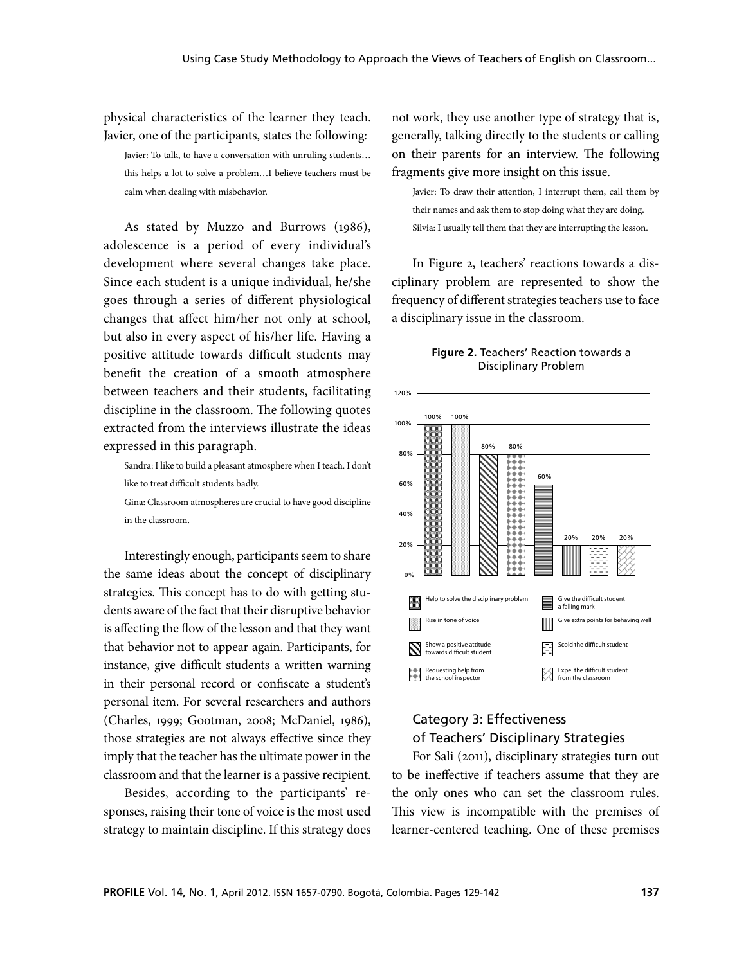physical characteristics of the learner they teach. Javier, one of the participants, states the following:

Javier: To talk, to have a conversation with unruling students… this helps a lot to solve a problem…I believe teachers must be calm when dealing with misbehavior.

As stated by Muzzo and Burrows (1986), adolescence is a period of every individual's development where several changes take place. Since each student is a unique individual, he/she goes through a series of different physiological changes that affect him/her not only at school, but also in every aspect of his/her life. Having a positive attitude towards difficult students may benefit the creation of a smooth atmosphere between teachers and their students, facilitating discipline in the classroom. The following quotes extracted from the interviews illustrate the ideas expressed in this paragraph.

Sandra: I like to build a pleasant atmosphere when I teach. I don't like to treat difficult students badly.

Gina: Classroom atmospheres are crucial to have good discipline in the classroom.

Interestingly enough, participants seem to share the same ideas about the concept of disciplinary strategies. This concept has to do with getting students aware of the fact that their disruptive behavior is affecting the flow of the lesson and that they want that behavior not to appear again. Participants, for instance, give difficult students a written warning in their personal record or confiscate a student's personal item. For several researchers and authors (Charles, 1999; Gootman, 2008; McDaniel, 1986), those strategies are not always effective since they imply that the teacher has the ultimate power in the classroom and that the learner is a passive recipient.

Besides, according to the participants' responses, raising their tone of voice is the most used strategy to maintain discipline. If this strategy does not work, they use another type of strategy that is, generally, talking directly to the students or calling on their parents for an interview. The following fragments give more insight on this issue.

Javier: To draw their attention, I interrupt them, call them by their names and ask them to stop doing what they are doing. Silvia: I usually tell them that they are interrupting the lesson.

In Figure 2, teachers' reactions towards a disciplinary problem are represented to show the frequency of different strategies teachers use to face a disciplinary issue in the classroom.

#### **Figure 2.** Teachers' Reaction towards a Disciplinary Problem



## Category 3: Effectiveness of Teachers' Disciplinary Strategies

For Sali (2011), disciplinary strategies turn out to be ineffective if teachers assume that they are the only ones who can set the classroom rules. This view is incompatible with the premises of learner-centered teaching. One of these premises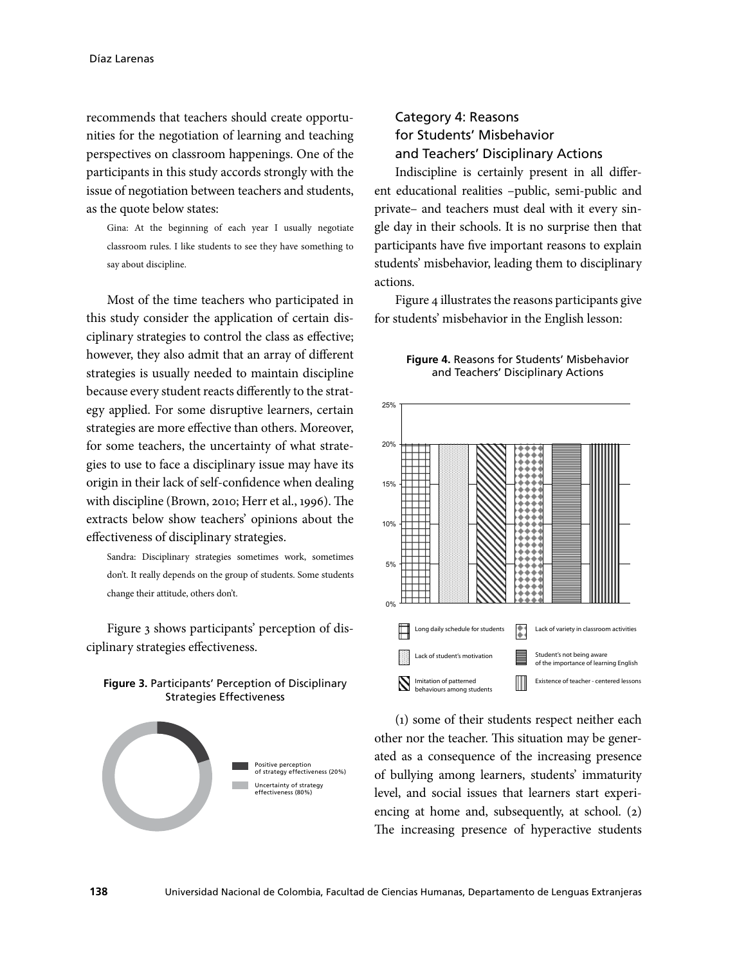recommends that teachers should create opportunities for the negotiation of learning and teaching perspectives on classroom happenings. One of the participants in this study accords strongly with the issue of negotiation between teachers and students, as the quote below states:

Gina: At the beginning of each year I usually negotiate classroom rules. I like students to see they have something to say about discipline.

Most of the time teachers who participated in this study consider the application of certain disciplinary strategies to control the class as effective; however, they also admit that an array of different strategies is usually needed to maintain discipline because every student reacts differently to the strategy applied. For some disruptive learners, certain strategies are more effective than others. Moreover, for some teachers, the uncertainty of what strategies to use to face a disciplinary issue may have its origin in their lack of self-confidence when dealing with discipline (Brown, 2010; Herr et al., 1996). The extracts below show teachers' opinions about the effectiveness of disciplinary strategies.

Sandra: Disciplinary strategies sometimes work, sometimes don't. It really depends on the group of students. Some students change their attitude, others don't.

Figure 3 shows participants' perception of disciplinary strategies effectiveness.



#### **Figure 3.** Participants' Perception of Disciplinary Strategies Effectiveness

# Category 4: Reasons for Students' Misbehavior and Teachers' Disciplinary Actions

Indiscipline is certainly present in all different educational realities –public, semi-public and private– and teachers must deal with it every single day in their schools. It is no surprise then that participants have five important reasons to explain students' misbehavior, leading them to disciplinary actions.

Figure 4 illustrates the reasons participants give for students' misbehavior in the English lesson:





(1) some of their students respect neither each other nor the teacher. This situation may be generated as a consequence of the increasing presence of bullying among learners, students' immaturity level, and social issues that learners start experiencing at home and, subsequently, at school. (2) The increasing presence of hyperactive students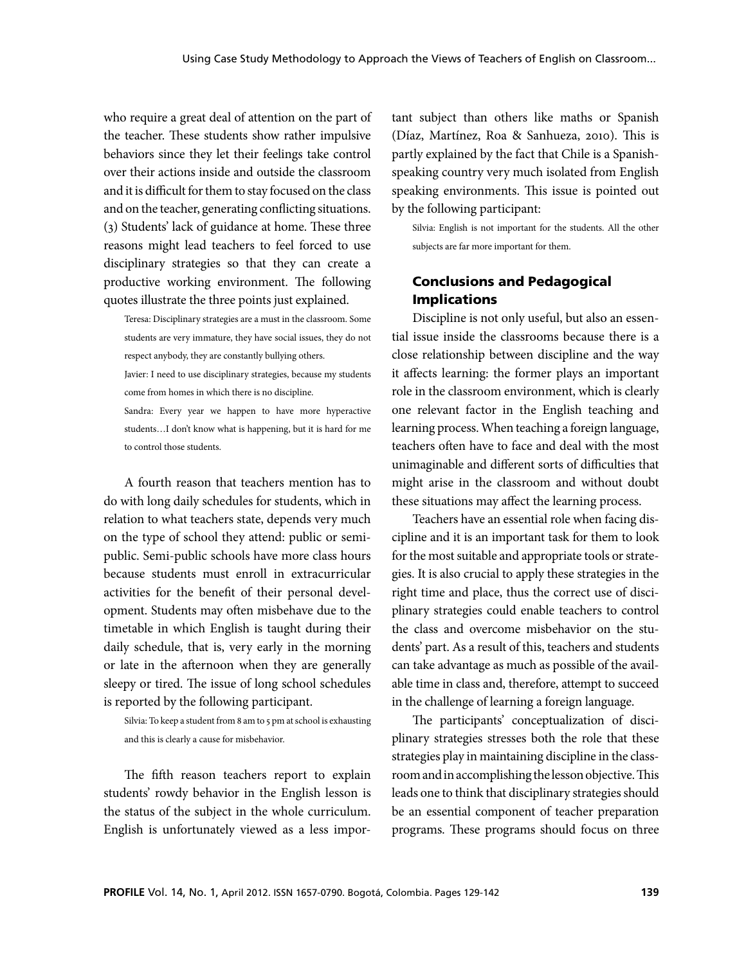who require a great deal of attention on the part of the teacher. These students show rather impulsive behaviors since they let their feelings take control over their actions inside and outside the classroom and it is difficult for them to stay focused on the class and on the teacher, generating conflicting situations. (3) Students' lack of guidance at home. These three reasons might lead teachers to feel forced to use disciplinary strategies so that they can create a productive working environment. The following quotes illustrate the three points just explained.

- Teresa: Disciplinary strategies are a must in the classroom. Some students are very immature, they have social issues, they do not respect anybody, they are constantly bullying others.
- Javier: I need to use disciplinary strategies, because my students come from homes in which there is no discipline.
- Sandra: Every year we happen to have more hyperactive students…I don't know what is happening, but it is hard for me to control those students.

A fourth reason that teachers mention has to do with long daily schedules for students, which in relation to what teachers state, depends very much on the type of school they attend: public or semipublic. Semi-public schools have more class hours because students must enroll in extracurricular activities for the benefit of their personal development. Students may often misbehave due to the timetable in which English is taught during their daily schedule, that is, very early in the morning or late in the afternoon when they are generally sleepy or tired. The issue of long school schedules is reported by the following participant.

Silvia: To keep a student from 8 am to 5 pm at school is exhausting and this is clearly a cause for misbehavior.

The fifth reason teachers report to explain students' rowdy behavior in the English lesson is the status of the subject in the whole curriculum. English is unfortunately viewed as a less important subject than others like maths or Spanish (Díaz, Martínez, Roa & Sanhueza, 2010). This is partly explained by the fact that Chile is a Spanishspeaking country very much isolated from English speaking environments. This issue is pointed out by the following participant:

Silvia: English is not important for the students. All the other subjects are far more important for them.

### Conclusions and Pedagogical Implications

Discipline is not only useful, but also an essential issue inside the classrooms because there is a close relationship between discipline and the way it affects learning: the former plays an important role in the classroom environment, which is clearly one relevant factor in the English teaching and learning process. When teaching a foreign language, teachers often have to face and deal with the most unimaginable and different sorts of difficulties that might arise in the classroom and without doubt these situations may affect the learning process.

Teachers have an essential role when facing discipline and it is an important task for them to look for the most suitable and appropriate tools or strategies. It is also crucial to apply these strategies in the right time and place, thus the correct use of disciplinary strategies could enable teachers to control the class and overcome misbehavior on the students' part. As a result of this, teachers and students can take advantage as much as possible of the available time in class and, therefore, attempt to succeed in the challenge of learning a foreign language.

The participants' conceptualization of disciplinary strategies stresses both the role that these strategies play in maintaining discipline in the classroom and in accomplishing the lesson objective. This leads one to think that disciplinary strategies should be an essential component of teacher preparation programs. These programs should focus on three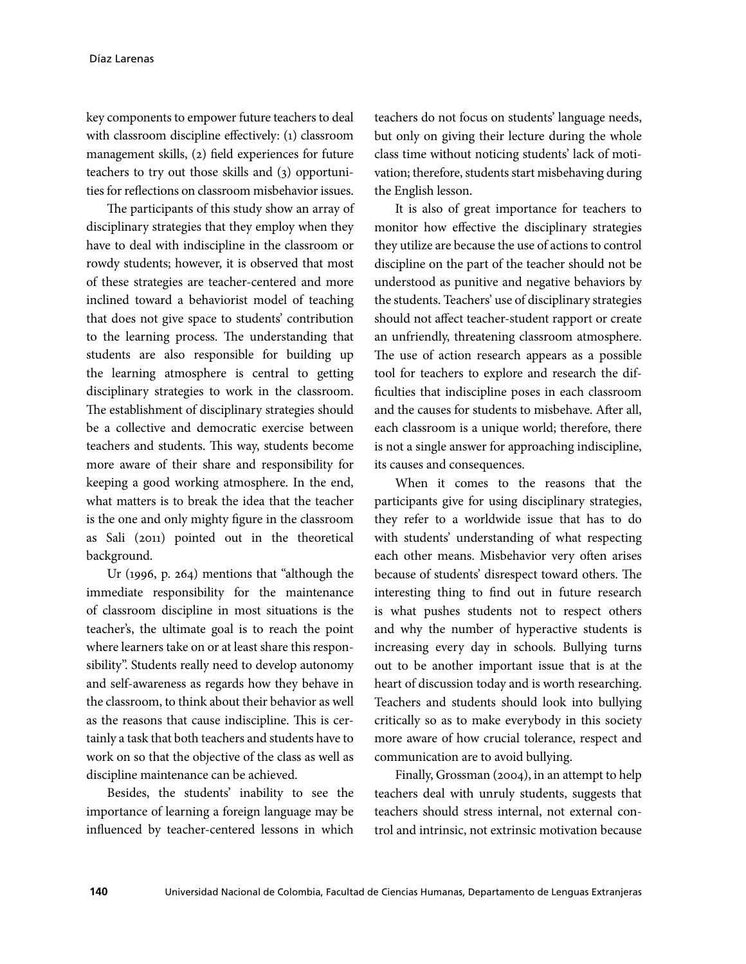key components to empower future teachers to deal with classroom discipline effectively: (1) classroom management skills, (2) field experiences for future teachers to try out those skills and (3) opportunities for reflections on classroom misbehavior issues.

The participants of this study show an array of disciplinary strategies that they employ when they have to deal with indiscipline in the classroom or rowdy students; however, it is observed that most of these strategies are teacher-centered and more inclined toward a behaviorist model of teaching that does not give space to students' contribution to the learning process. The understanding that students are also responsible for building up the learning atmosphere is central to getting disciplinary strategies to work in the classroom. The establishment of disciplinary strategies should be a collective and democratic exercise between teachers and students. This way, students become more aware of their share and responsibility for keeping a good working atmosphere. In the end, what matters is to break the idea that the teacher is the one and only mighty figure in the classroom as Sali (2011) pointed out in the theoretical background.

Ur (1996, p. 264) mentions that "although the immediate responsibility for the maintenance of classroom discipline in most situations is the teacher's, the ultimate goal is to reach the point where learners take on or at least share this responsibility". Students really need to develop autonomy and self-awareness as regards how they behave in the classroom, to think about their behavior as well as the reasons that cause indiscipline. This is certainly a task that both teachers and students have to work on so that the objective of the class as well as discipline maintenance can be achieved.

Besides, the students' inability to see the importance of learning a foreign language may be influenced by teacher-centered lessons in which

teachers do not focus on students' language needs, but only on giving their lecture during the whole class time without noticing students' lack of motivation; therefore, students start misbehaving during the English lesson.

It is also of great importance for teachers to monitor how effective the disciplinary strategies they utilize are because the use of actions to control discipline on the part of the teacher should not be understood as punitive and negative behaviors by the students. Teachers' use of disciplinary strategies should not affect teacher-student rapport or create an unfriendly, threatening classroom atmosphere. The use of action research appears as a possible tool for teachers to explore and research the difficulties that indiscipline poses in each classroom and the causes for students to misbehave. After all, each classroom is a unique world; therefore, there is not a single answer for approaching indiscipline, its causes and consequences.

When it comes to the reasons that the participants give for using disciplinary strategies, they refer to a worldwide issue that has to do with students' understanding of what respecting each other means. Misbehavior very often arises because of students' disrespect toward others. The interesting thing to find out in future research is what pushes students not to respect others and why the number of hyperactive students is increasing every day in schools. Bullying turns out to be another important issue that is at the heart of discussion today and is worth researching. Teachers and students should look into bullying critically so as to make everybody in this society more aware of how crucial tolerance, respect and communication are to avoid bullying.

Finally, Grossman (2004), in an attempt to help teachers deal with unruly students, suggests that teachers should stress internal, not external control and intrinsic, not extrinsic motivation because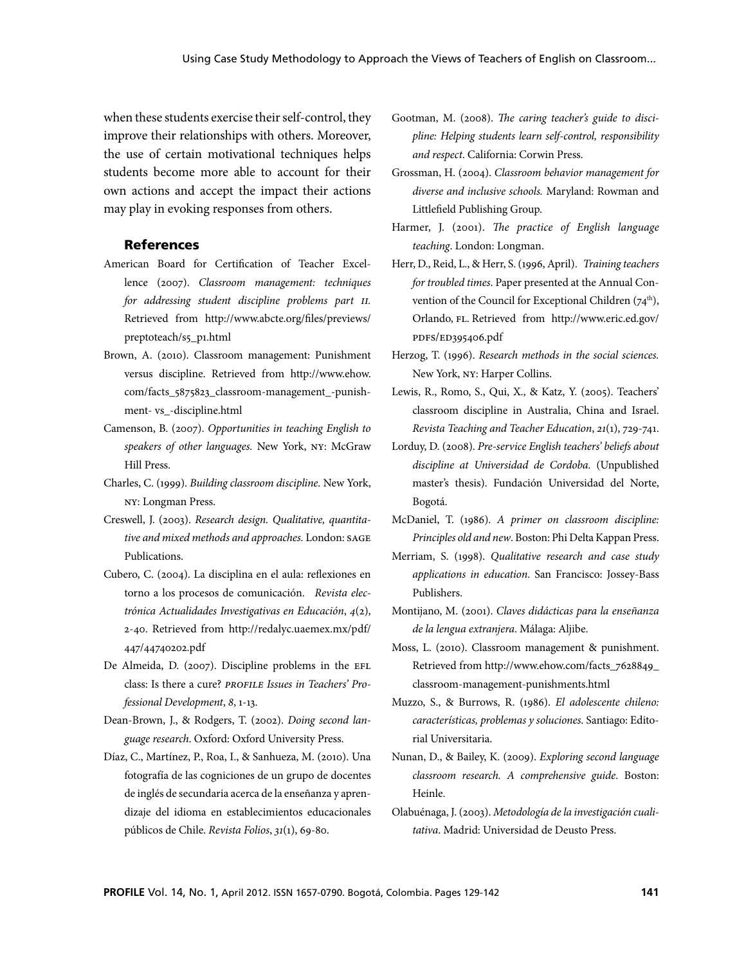when these students exercise their self-control, they improve their relationships with others. Moreover, the use of certain motivational techniques helps students become more able to account for their own actions and accept the impact their actions may play in evoking responses from others.

### References

- American Board for Certification of Teacher Excellence (2007). *Classroom management: techniques for addressing student discipline problems part II.* Retrieved from http://www.abcte.org/files/previews/ preptoteach/s5\_p1.html
- Brown, A. (2010). Classroom management: Punishment versus discipline. Retrieved from http://www.ehow. com/facts\_5875823\_classroom-management\_-punishment- vs\_-discipline.html
- Camenson, B. (2007). *Opportunities in teaching English to speakers of other languages.* New York, NY: McGraw Hill Press.
- Charles, C. (1999). *Building classroom discipline.* New York, NY: Longman Press.
- Creswell, J. (2003). *Research design. Qualitative, quantitative and mixed methods and approaches.* London: SAGE Publications.
- Cubero, C. (2004). La disciplina en el aula: reflexiones en torno a los procesos de comunicación. *Revista electrónica Actualidades Investigativas en Educación*, *4*(2), 2-40. Retrieved from http://redalyc.uaemex.mx/pdf/ 447/44740202.pdf
- De Almeida, D. (2007). Discipline problems in the EFL class: Is there a cure? *PROFILE Issues in Teachers' Professional Development*, *8*, 1-13.
- Dean-Brown, J., & Rodgers, T. (2002). *Doing second language research*. Oxford: Oxford University Press.
- Díaz, C., Martínez, P., Roa, I., & Sanhueza, M. (2010). Una fotografía de las cogniciones de un grupo de docentes de inglés de secundaria acerca de la enseñanza y aprendizaje del idioma en establecimientos educacionales públicos de Chile. *Revista Folios*, *31*(1), 69-80.
- Gootman, M. (2008). *The caring teacher's guide to discipline: Helping students learn self-control, responsibility and respect*. California: Corwin Press.
- Grossman, H. (2004). *Classroom behavior management for diverse and inclusive schools.* Maryland: Rowman and Littlefield Publishing Group.
- Harmer, J. (2001). *The practice of English language teaching*. London: Longman.
- Herr, D., Reid, L., & Herr, S. (1996, April). *Training teachers for troubled times*. Paper presented at the Annual Convention of the Council for Exceptional Children  $(74<sup>th</sup>)$ , Orlando, FL. Retrieved from http://www.eric.ed.gov/ PDFS/ED395406.pdf
- Herzog, T. (1996). *Research methods in the social sciences.* New York, NY: Harper Collins.
- Lewis, R., Romo, S., Qui, X., & Katz, Y. (2005). Teachers' classroom discipline in Australia, China and Israel. *Revista Teaching and Teacher Education*, *21*(1), 729-741.
- Lorduy, D. (2008). *Pre-service English teachers' beliefs about discipline at Universidad de Cordoba.* (Unpublished master's thesis). Fundación Universidad del Norte, Bogotá.
- McDaniel, T. (1986). *A primer on classroom discipline: Principles old and new*. Boston: Phi Delta Kappan Press.
- Merriam, S. (1998). *Qualitative research and case study applications in education*. San Francisco: Jossey-Bass Publishers.
- Montijano, M. (2001). *Claves didácticas para la enseñanza de la lengua extranjera*. Málaga: Aljibe.
- Moss, L. (2010). Classroom management & punishment. Retrieved from http://www.ehow.com/facts\_7628849\_ classroom-management-punishments.html
- Muzzo, S., & Burrows, R. (1986). *El adolescente chileno: características, problemas y soluciones.* Santiago: Editorial Universitaria.
- Nunan, D., & Bailey, K. (2009). *Exploring second language classroom research. A comprehensive guide*. Boston: Heinle.
- Olabuénaga, J. (2003). *Metodología de la investigación cualitativa*. Madrid: Universidad de Deusto Press.